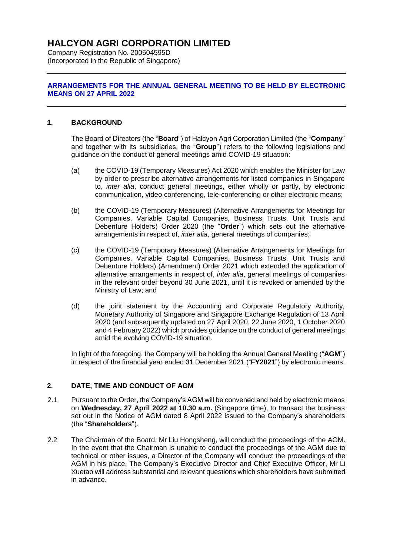# **HALCYON AGRI CORPORATION LIMITED**

Company Registration No. 200504595D (Incorporated in the Republic of Singapore)

## **ARRANGEMENTS FOR THE ANNUAL GENERAL MEETING TO BE HELD BY ELECTRONIC MEANS ON 27 APRIL 2022**

## **1. BACKGROUND**

The Board of Directors (the "**Board**") of Halcyon Agri Corporation Limited (the "**Company**" and together with its subsidiaries, the "**Group**") refers to the following legislations and guidance on the conduct of general meetings amid COVID-19 situation:

- (a) the COVID-19 (Temporary Measures) Act 2020 which enables the Minister for Law by order to prescribe alternative arrangements for listed companies in Singapore to, *inter alia*, conduct general meetings, either wholly or partly, by electronic communication, video conferencing, tele-conferencing or other electronic means;
- (b) the COVID-19 (Temporary Measures) (Alternative Arrangements for Meetings for Companies, Variable Capital Companies, Business Trusts, Unit Trusts and Debenture Holders) Order 2020 (the "**Order**") which sets out the alternative arrangements in respect of, *inter alia*, general meetings of companies;
- (c) the COVID-19 (Temporary Measures) (Alternative Arrangements for Meetings for Companies, Variable Capital Companies, Business Trusts, Unit Trusts and Debenture Holders) (Amendment) Order 2021 which extended the application of alternative arrangements in respect of, *inter alia*, general meetings of companies in the relevant order beyond 30 June 2021, until it is revoked or amended by the Ministry of Law; and
- (d) the joint statement by the Accounting and Corporate Regulatory Authority, Monetary Authority of Singapore and Singapore Exchange Regulation of 13 April 2020 (and subsequently updated on 27 April 2020, 22 June 2020, 1 October 2020 and 4 February 2022) which provides guidance on the conduct of general meetings amid the evolving COVID-19 situation.

In light of the foregoing, the Company will be holding the Annual General Meeting ("**AGM**") in respect of the financial year ended 31 December 2021 ("**FY2021**") by electronic means.

# **2. DATE, TIME AND CONDUCT OF AGM**

- 2.1 Pursuant to the Order, the Company's AGM will be convened and held by electronic means on **Wednesday, 27 April 2022 at 10.30 a.m.** (Singapore time), to transact the business set out in the Notice of AGM dated 8 April 2022 issued to the Company's shareholders (the "**Shareholders**").
- 2.2 The Chairman of the Board, Mr Liu Hongsheng, will conduct the proceedings of the AGM. In the event that the Chairman is unable to conduct the proceedings of the AGM due to technical or other issues, a Director of the Company will conduct the proceedings of the AGM in his place. The Company's Executive Director and Chief Executive Officer, Mr Li Xuetao will address substantial and relevant questions which shareholders have submitted in advance.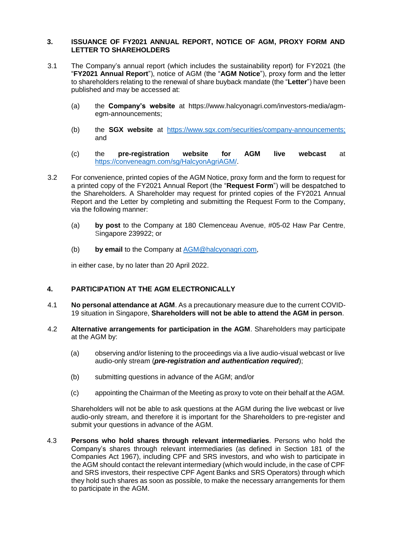## **3. ISSUANCE OF FY2021 ANNUAL REPORT, NOTICE OF AGM, PROXY FORM AND LETTER TO SHAREHOLDERS**

- 3.1 The Company's annual report (which includes the sustainability report) for FY2021 (the "**FY2021 Annual Report**"), notice of AGM (the "**AGM Notice**"), proxy form and the letter to shareholders relating to the renewal of share buyback mandate (the "**Letter**") have been published and may be accessed at:
	- (a) the **Company's website** at https://www.halcyonagri.com/investors-media/agmegm-announcements;
	- (b) the **SGX website** at [https://www.sgx.com/securities/company-announcements;](https://www.sgx.com/securities/company-announcements) and
	- (c) the **pre-registration website for AGM live webcast** at [https://conveneagm.com/sg/HalcyonAgriAGM/.](https://conveneagm.com/sg/HalcyonAgriAGM/)
- 3.2 For convenience, printed copies of the AGM Notice, proxy form and the form to request for a printed copy of the FY2021 Annual Report (the "**Request Form**") will be despatched to the Shareholders. A Shareholder may request for printed copies of the FY2021 Annual Report and the Letter by completing and submitting the Request Form to the Company, via the following manner:
	- (a) **by post** to the Company at 180 Clemenceau Avenue, #05-02 Haw Par Centre, Singapore 239922; or
	- (b) **by email** to the Company at [AGM@halcyonagri.com,](mailto:AGM@halcyonagri.com)

in either case, by no later than 20 April 2022.

## **4. PARTICIPATION AT THE AGM ELECTRONICALLY**

- 4.1 **No personal attendance at AGM**. As a precautionary measure due to the current COVID-19 situation in Singapore, **Shareholders will not be able to attend the AGM in person**.
- 4.2 **Alternative arrangements for participation in the AGM**. Shareholders may participate at the AGM by:
	- (a) observing and/or listening to the proceedings via a live audio-visual webcast or live audio-only stream (*pre-registration and authentication required*);
	- (b) submitting questions in advance of the AGM; and/or
	- (c) appointing the Chairman of the Meeting as proxy to vote on their behalf at the AGM.

Shareholders will not be able to ask questions at the AGM during the live webcast or live audio-only stream, and therefore it is important for the Shareholders to pre-register and submit your questions in advance of the AGM.

4.3 **Persons who hold shares through relevant intermediaries**. Persons who hold the Company's shares through relevant intermediaries (as defined in Section 181 of the Companies Act 1967), including CPF and SRS investors, and who wish to participate in the AGM should contact the relevant intermediary (which would include, in the case of CPF and SRS investors, their respective CPF Agent Banks and SRS Operators) through which they hold such shares as soon as possible, to make the necessary arrangements for them to participate in the AGM.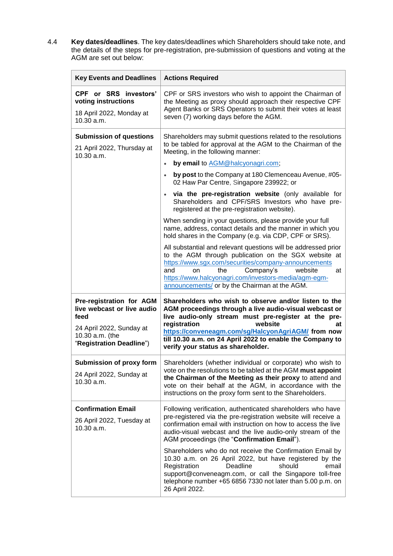4.4 **Key dates/deadlines**. The key dates/deadlines which Shareholders should take note, and the details of the steps for pre-registration, pre-submission of questions and voting at the AGM are set out below:

| <b>Key Events and Deadlines</b>                                                                                                           | <b>Actions Required</b>                                                                                                                                                                                                                                                                                                                                           |
|-------------------------------------------------------------------------------------------------------------------------------------------|-------------------------------------------------------------------------------------------------------------------------------------------------------------------------------------------------------------------------------------------------------------------------------------------------------------------------------------------------------------------|
| CPF or SRS investors'<br>voting instructions<br>18 April 2022, Monday at<br>10.30 a.m.                                                    | CPF or SRS investors who wish to appoint the Chairman of<br>the Meeting as proxy should approach their respective CPF<br>Agent Banks or SRS Operators to submit their votes at least<br>seven (7) working days before the AGM.                                                                                                                                    |
| <b>Submission of questions</b><br>21 April 2022, Thursday at<br>10.30 a.m.                                                                | Shareholders may submit questions related to the resolutions<br>to be tabled for approval at the AGM to the Chairman of the<br>Meeting, in the following manner:                                                                                                                                                                                                  |
|                                                                                                                                           | by email to AGM@halcyonagri.com;<br>$\bullet$                                                                                                                                                                                                                                                                                                                     |
|                                                                                                                                           | by post to the Company at 180 Clemenceau Avenue, #05-<br>$\bullet$<br>02 Haw Par Centre, Singapore 239922; or                                                                                                                                                                                                                                                     |
|                                                                                                                                           | via the pre-registration website (only available for<br>$\bullet$<br>Shareholders and CPF/SRS Investors who have pre-<br>registered at the pre-registration website).                                                                                                                                                                                             |
|                                                                                                                                           | When sending in your questions, please provide your full<br>name, address, contact details and the manner in which you<br>hold shares in the Company (e.g. via CDP, CPF or SRS).                                                                                                                                                                                  |
|                                                                                                                                           | All substantial and relevant questions will be addressed prior<br>to the AGM through publication on the SGX website at<br>https://www.sgx.com/securities/company-announcements<br>and<br>Company's<br>website<br>on<br>the<br>at<br>https://www.halcyonagri.com/investors-media/agm-egm-<br>announcements/ or by the Chairman at the AGM.                         |
| Pre-registration for AGM<br>live webcast or live audio<br>feed<br>24 April 2022, Sunday at<br>10.30 a.m. (the<br>"Registration Deadline") | Shareholders who wish to observe and/or listen to the<br>AGM proceedings through a live audio-visual webcast or<br>live audio-only stream must pre-register at the pre-<br>registration<br>website<br>at<br>https://conveneagm.com/sg/HalcyonAgriAGM/ from now<br>till 10.30 a.m. on 24 April 2022 to enable the Company to<br>verify your status as shareholder. |
| Submission of proxy form<br>24 April 2022, Sunday at<br>10.30 a.m.                                                                        | Shareholders (whether individual or corporate) who wish to<br>vote on the resolutions to be tabled at the AGM must appoint<br>the Chairman of the Meeting as their proxy to attend and<br>vote on their behalf at the AGM, in accordance with the<br>instructions on the proxy form sent to the Shareholders.                                                     |
| <b>Confirmation Email</b><br>26 April 2022, Tuesday at<br>10.30 a.m.                                                                      | Following verification, authenticated shareholders who have<br>pre-registered via the pre-registration website will receive a<br>confirmation email with instruction on how to access the live<br>audio-visual webcast and the live audio-only stream of the<br>AGM proceedings (the "Confirmation Email").                                                       |
|                                                                                                                                           | Shareholders who do not receive the Confirmation Email by<br>10.30 a.m. on 26 April 2022, but have registered by the<br>Registration<br>Deadline<br>should<br>email<br>support@conveneagm.com, or call the Singapore toll-free<br>telephone number +65 6856 7330 not later than 5.00 p.m. on<br>26 April 2022.                                                    |